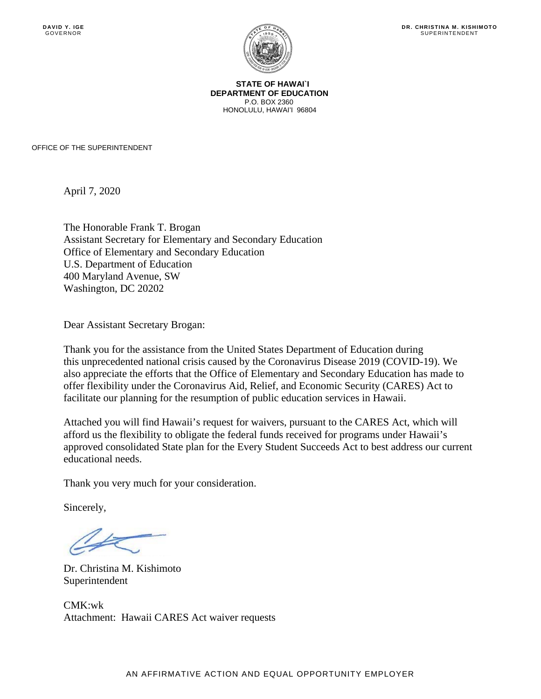SUPERINTENDENT



**STATE OF HAWAI`I DEPARTMENT OF EDUCATION**  P.O. BOX 2360 HONOLULU, HAWAI'I 96804

OFFICE OF THE SUPERINTENDENT

April 7, 2020

The Honorable Frank T. Brogan Assistant Secretary for Elementary and Secondary Education Office of Elementary and Secondary Education U.S. Department of Education 400 Maryland Avenue, SW Washington, DC 20202

Dear Assistant Secretary Brogan:

Thank you for the assistance from the United States Department of Education during this unprecedented national crisis caused by the Coronavirus Disease 2019 (COVID-19). We also appreciate the efforts that the Office of Elementary and Secondary Education has made to offer flexibility under the Coronavirus Aid, Relief, and Economic Security (CARES) Act to facilitate our planning for the resumption of public education services in Hawaii.

Attached you will find Hawaii's request for waivers, pursuant to the CARES Act, which will afford us the flexibility to obligate the federal funds received for programs under Hawaii's approved consolidated State plan for the Every Student Succeeds Act to best address our current educational needs.

Thank you very much for your consideration.

Sincerely,

Dr. Christina M. Kishimoto Superintendent

CMK:wk Attachment: Hawaii CARES Act waiver requests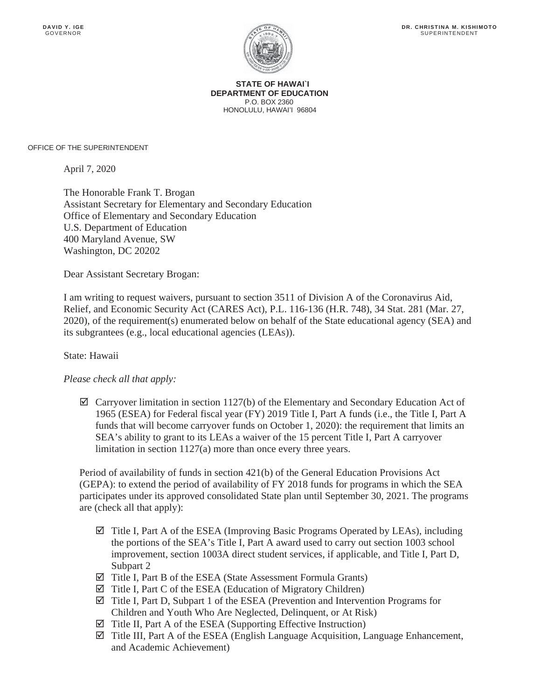

**STATE OF HAWAI`I DEPARTMENT OF EDUCATION**  P.O. BOX 2360 HONOLULU, HAWAI'I 96804

OFFICE OF THE SUPERINTENDENT

April 7, 2020

The Honorable Frank T. Brogan Assistant Secretary for Elementary and Secondary Education Office of Elementary and Secondary Education U.S. Department of Education 400 Maryland Avenue, SW Washington, DC 20202

Dear Assistant Secretary Brogan:

I am writing to request waivers, pursuant to section 3511 of Division A of the Coronavirus Aid, Relief, and Economic Security Act (CARES Act), P.L. 116-136 (H.R. 748), 34 Stat. 281 (Mar. 27, 2020), of the requirement(s) enumerated below on behalf of the State educational agency (SEA) and its subgrantees (e.g., local educational agencies (LEAs)).

## State: Hawaii

## *Please check all that apply:*

 $\boxtimes$  Carryover limitation in section 1127(b) of the Elementary and Secondary Education Act of 1965 (ESEA) for Federal fiscal year (FY) 2019 Title I, Part A funds (i.e., the Title I, Part A funds that will become carryover funds on October 1, 2020): the requirement that limits an SEA's ability to grant to its LEAs a waiver of the 15 percent Title I, Part A carryover limitation in section 1127(a) more than once every three years.

Period of availability of funds in section 421(b) of the General Education Provisions Act (GEPA): to extend the period of availability of FY 2018 funds for programs in which the SEA participates under its approved consolidated State plan until September 30, 2021. The programs are (check all that apply):

- $\boxtimes$  Title I, Part A of the ESEA (Improving Basic Programs Operated by LEAs), including the portions of the SEA's Title I, Part A award used to carry out section 1003 school improvement, section 1003A direct student services, if applicable, and Title I, Part D, Subpart 2
- $\boxtimes$  Title I, Part B of the ESEA (State Assessment Formula Grants)
- $\boxtimes$  Title I, Part C of the ESEA (Education of Migratory Children)
- $\boxtimes$  Title I, Part D, Subpart 1 of the ESEA (Prevention and Intervention Programs for Children and Youth Who Are Neglected, Delinquent, or At Risk)
- $\boxtimes$  Title II, Part A of the ESEA (Supporting Effective Instruction)
- $\boxtimes$  Title III, Part A of the ESEA (English Language Acquisition, Language Enhancement, and Academic Achievement)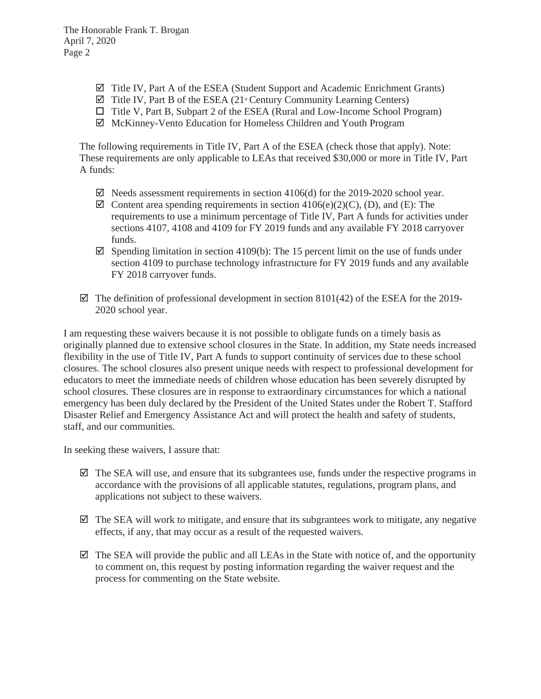- $\boxtimes$  Title IV, Part A of the ESEA (Student Support and Academic Enrichment Grants)
- $\boxtimes$  Title IV, Part B of the ESEA (21<sup>st</sup> Century Community Learning Centers)
- Title V, Part B, Subpart 2 of the ESEA (Rural and Low-Income School Program)
- $\boxtimes$  McKinney-Vento Education for Homeless Children and Youth Program

The following requirements in Title IV, Part A of the ESEA (check those that apply). Note: These requirements are only applicable to LEAs that received \$30,000 or more in Title IV, Part A funds:

- $\boxtimes$  Needs assessment requirements in section 4106(d) for the 2019-2020 school year.
- $\boxtimes$  Content area spending requirements in section 4106(e)(2)(C), (D), and (E): The requirements to use a minimum percentage of Title IV, Part A funds for activities under sections 4107, 4108 and 4109 for FY 2019 funds and any available FY 2018 carryover funds.
- $\boxtimes$  Spending limitation in section 4109(b): The 15 percent limit on the use of funds under section 4109 to purchase technology infrastructure for FY 2019 funds and any available FY 2018 carryover funds.
- $\boxtimes$  The definition of professional development in section 8101(42) of the ESEA for the 2019-2020 school year.

I am requesting these waivers because it is not possible to obligate funds on a timely basis as originally planned due to extensive school closures in the State. In addition, my State needs increased flexibility in the use of Title IV, Part A funds to support continuity of services due to these school closures. The school closures also present unique needs with respect to professional development for educators to meet the immediate needs of children whose education has been severely disrupted by school closures. These closures are in response to extraordinary circumstances for which a national emergency has been duly declared by the President of the United States under the Robert T. Stafford Disaster Relief and Emergency Assistance Act and will protect the health and safety of students, staff, and our communities.

In seeking these waivers, I assure that:

- $\boxtimes$  The SEA will use, and ensure that its subgrantees use, funds under the respective programs in accordance with the provisions of all applicable statutes, regulations, program plans, and applications not subject to these waivers.
- $\boxtimes$  The SEA will work to mitigate, and ensure that its subgrantees work to mitigate, any negative effects, if any, that may occur as a result of the requested waivers.
- $\boxtimes$  The SEA will provide the public and all LEAs in the State with notice of, and the opportunity to comment on, this request by posting information regarding the waiver request and the process for commenting on the State website.